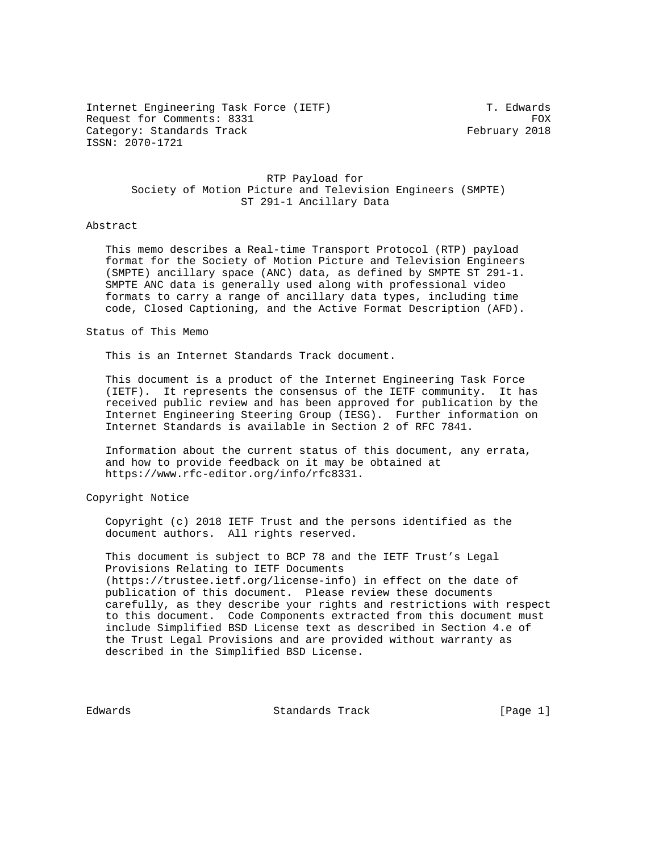Internet Engineering Task Force (IETF) T. Edwards Request for Comments: 8331 FOX Category: Standards Track February 2018 ISSN: 2070-1721

 RTP Payload for Society of Motion Picture and Television Engineers (SMPTE) ST 291-1 Ancillary Data

## Abstract

 This memo describes a Real-time Transport Protocol (RTP) payload format for the Society of Motion Picture and Television Engineers (SMPTE) ancillary space (ANC) data, as defined by SMPTE ST 291-1. SMPTE ANC data is generally used along with professional video formats to carry a range of ancillary data types, including time code, Closed Captioning, and the Active Format Description (AFD).

## Status of This Memo

This is an Internet Standards Track document.

 This document is a product of the Internet Engineering Task Force (IETF). It represents the consensus of the IETF community. It has received public review and has been approved for publication by the Internet Engineering Steering Group (IESG). Further information on Internet Standards is available in Section 2 of RFC 7841.

 Information about the current status of this document, any errata, and how to provide feedback on it may be obtained at https://www.rfc-editor.org/info/rfc8331.

Copyright Notice

 Copyright (c) 2018 IETF Trust and the persons identified as the document authors. All rights reserved.

 This document is subject to BCP 78 and the IETF Trust's Legal Provisions Relating to IETF Documents (https://trustee.ietf.org/license-info) in effect on the date of publication of this document. Please review these documents carefully, as they describe your rights and restrictions with respect to this document. Code Components extracted from this document must include Simplified BSD License text as described in Section 4.e of the Trust Legal Provisions and are provided without warranty as described in the Simplified BSD License.

Edwards Standards Track [Page 1]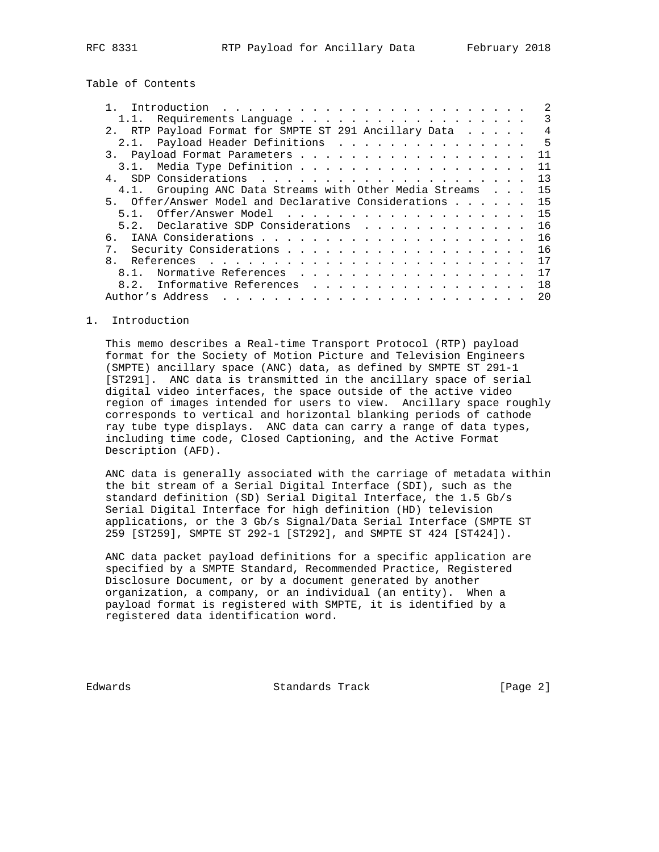Table of Contents

| 1.1. Requirements Language                              |  | 3   |
|---------------------------------------------------------|--|-----|
| 2. RTP Payload Format for SMPTE ST 291 Ancillary Data   |  | 4   |
| 2.1. Payload Header Definitions 5                       |  |     |
|                                                         |  | 11  |
|                                                         |  | 11  |
| $\overline{4}$                                          |  |     |
| 4.1. Grouping ANC Data Streams with Other Media Streams |  | 15  |
| 5. Offer/Answer Model and Declarative Considerations    |  | 15  |
|                                                         |  | 15  |
| 5.2. Declarative SDP Considerations                     |  | 16  |
| რ.                                                      |  | 16  |
|                                                         |  | 16  |
|                                                         |  | 17  |
|                                                         |  | 17  |
| Informative References<br>8.2.                          |  | 1 R |
|                                                         |  | 20  |

#### 1. Introduction

 This memo describes a Real-time Transport Protocol (RTP) payload format for the Society of Motion Picture and Television Engineers (SMPTE) ancillary space (ANC) data, as defined by SMPTE ST 291-1 [ST291]. ANC data is transmitted in the ancillary space of serial digital video interfaces, the space outside of the active video region of images intended for users to view. Ancillary space roughly corresponds to vertical and horizontal blanking periods of cathode ray tube type displays. ANC data can carry a range of data types, including time code, Closed Captioning, and the Active Format Description (AFD).

 ANC data is generally associated with the carriage of metadata within the bit stream of a Serial Digital Interface (SDI), such as the standard definition (SD) Serial Digital Interface, the 1.5 Gb/s Serial Digital Interface for high definition (HD) television applications, or the 3 Gb/s Signal/Data Serial Interface (SMPTE ST 259 [ST259], SMPTE ST 292-1 [ST292], and SMPTE ST 424 [ST424]).

 ANC data packet payload definitions for a specific application are specified by a SMPTE Standard, Recommended Practice, Registered Disclosure Document, or by a document generated by another organization, a company, or an individual (an entity). When a payload format is registered with SMPTE, it is identified by a registered data identification word.

Edwards Standards Track [Page 2]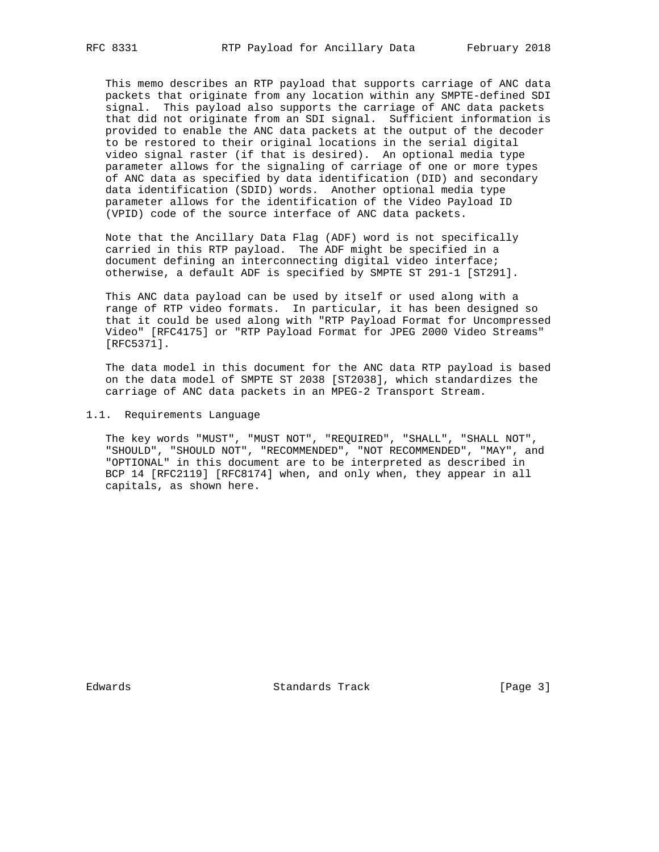This memo describes an RTP payload that supports carriage of ANC data packets that originate from any location within any SMPTE-defined SDI signal. This payload also supports the carriage of ANC data packets that did not originate from an SDI signal. Sufficient information is provided to enable the ANC data packets at the output of the decoder to be restored to their original locations in the serial digital video signal raster (if that is desired). An optional media type parameter allows for the signaling of carriage of one or more types of ANC data as specified by data identification (DID) and secondary data identification (SDID) words. Another optional media type parameter allows for the identification of the Video Payload ID (VPID) code of the source interface of ANC data packets.

 Note that the Ancillary Data Flag (ADF) word is not specifically carried in this RTP payload. The ADF might be specified in a document defining an interconnecting digital video interface; otherwise, a default ADF is specified by SMPTE ST 291-1 [ST291].

 This ANC data payload can be used by itself or used along with a range of RTP video formats. In particular, it has been designed so that it could be used along with "RTP Payload Format for Uncompressed Video" [RFC4175] or "RTP Payload Format for JPEG 2000 Video Streams" [RFC5371].

 The data model in this document for the ANC data RTP payload is based on the data model of SMPTE ST 2038 [ST2038], which standardizes the carriage of ANC data packets in an MPEG-2 Transport Stream.

1.1. Requirements Language

 The key words "MUST", "MUST NOT", "REQUIRED", "SHALL", "SHALL NOT", "SHOULD", "SHOULD NOT", "RECOMMENDED", "NOT RECOMMENDED", "MAY", and "OPTIONAL" in this document are to be interpreted as described in BCP 14 [RFC2119] [RFC8174] when, and only when, they appear in all capitals, as shown here.

Edwards Standards Track [Page 3]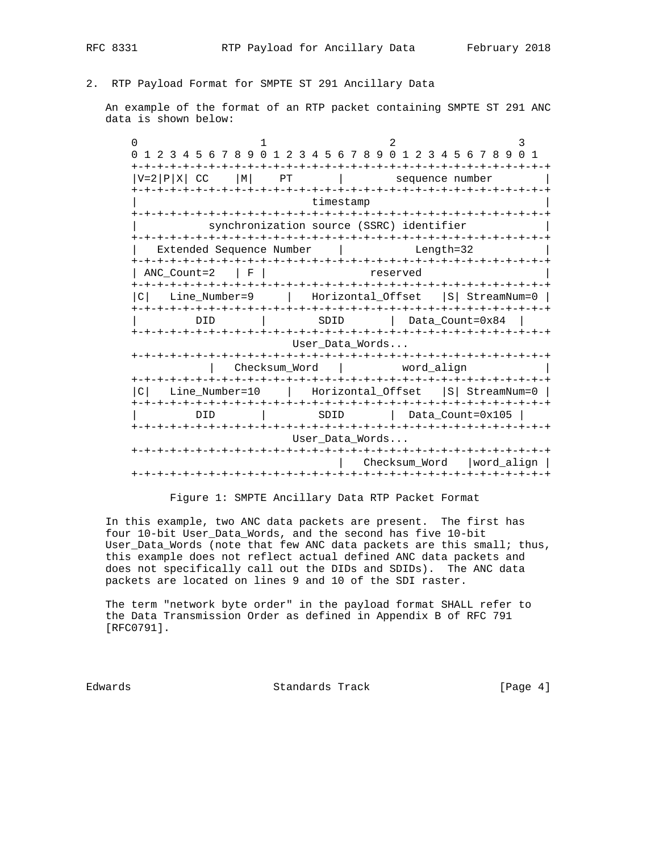# 2. RTP Payload Format for SMPTE ST 291 Ancillary Data

 An example of the format of an RTP packet containing SMPTE ST 291 ANC data is shown below:

0  $1$  2 3 0 1 2 3 4 5 6 7 8 9 0 1 2 3 4 5 6 7 8 9 0 1 2 3 4 5 6 7 8 9 0 1 +-+-+-+-+-+-+-+-+-+-+-+-+-+-+-+-+-+-+-+-+-+-+-+-+-+-+-+-+-+-+-+-+  $|V=2|P|X|$  CC  $|M|$  PT  $|$  sequence number +-+-+-+-+-+-+-+-+-+-+-+-+-+-+-+-+-+-+-+-+-+-+-+-+-+-+-+-+-+-+-+-+ timestamp +-+-+-+-+-+-+-+-+-+-+-+-+-+-+-+-+-+-+-+-+-+-+-+-+-+-+-+-+-+-+-+-+ synchronization source (SSRC) identifier +-+-+-+-+-+-+-+-+-+-+-+-+-+-+-+-+-+-+-+-+-+-+-+-+-+-+-+-+-+-+-+-+ | Extended Sequence Number | Length=32 | +-+-+-+-+-+-+-+-+-+-+-+-+-+-+-+-+-+-+-+-+-+-+-+-+-+-+-+-+-+-+-+-+ | ANC\_Count=2 | F | reserved +-+-+-+-+-+-+-+-+-+-+-+-+-+-+-+-+-+-+-+-+-+-+-+-+-+-+-+-+-+-+-+-+ |C| Line\_Number=9 | Horizontal\_Offset |S| StreamNum=0 | +-+-+-+-+-+-+-+-+-+-+-+-+-+-+-+-+-+-+-+-+-+-+-+-+-+-+-+-+-+-+-+-+ | DID | SDID | Data\_Count=0x84 | +-+-+-+-+-+-+-+-+-+-+-+-+-+-+-+-+-+-+-+-+-+-+-+-+-+-+-+-+-+-+-+-+ User\_Data\_Words... +-+-+-+-+-+-+-+-+-+-+-+-+-+-+-+-+-+-+-+-+-+-+-+-+-+-+-+-+-+-+-+-+ | Checksum\_Word | word\_align | +-+-+-+-+-+-+-+-+-+-+-+-+-+-+-+-+-+-+-+-+-+-+-+-+-+-+-+-+-+-+-+-+ |C| Line\_Number=10 | Horizontal\_Offset |S| StreamNum=0 | +-+-+-+-+-+-+-+-+-+-+-+-+-+-+-+-+-+-+-+-+-+-+-+-+-+-+-+-+-+-+-+-+ | DID | SDID | Data\_Count=0x105 | +-+-+-+-+-+-+-+-+-+-+-+-+-+-+-+-+-+-+-+-+-+-+-+-+-+-+-+-+-+-+-+-+ User\_Data\_Words... +-+-+-+-+-+-+-+-+-+-+-+-+-+-+-+-+-+-+-+-+-+-+-+-+-+-+-+-+-+-+-+-+ | Checksum\_Word |word\_align | +-+-+-+-+-+-+-+-+-+-+-+-+-+-+-+-+-+-+-+-+-+-+-+-+-+-+-+-+-+-+-+-+

Figure 1: SMPTE Ancillary Data RTP Packet Format

 In this example, two ANC data packets are present. The first has four 10-bit User\_Data\_Words, and the second has five 10-bit User\_Data\_Words (note that few ANC data packets are this small; thus, this example does not reflect actual defined ANC data packets and does not specifically call out the DIDs and SDIDs). The ANC data packets are located on lines 9 and 10 of the SDI raster.

 The term "network byte order" in the payload format SHALL refer to the Data Transmission Order as defined in Appendix B of RFC 791 [RFC0791].

Edwards Standards Track [Page 4]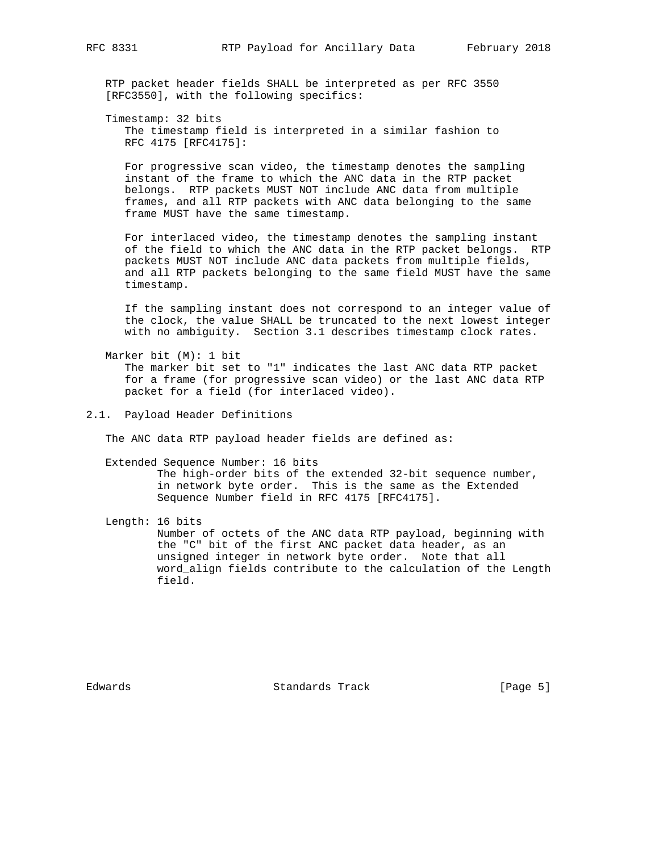RTP packet header fields SHALL be interpreted as per RFC 3550 [RFC3550], with the following specifics:

 Timestamp: 32 bits The timestamp field is interpreted in a similar fashion to RFC 4175 [RFC4175]:

 For progressive scan video, the timestamp denotes the sampling instant of the frame to which the ANC data in the RTP packet belongs. RTP packets MUST NOT include ANC data from multiple frames, and all RTP packets with ANC data belonging to the same frame MUST have the same timestamp.

 For interlaced video, the timestamp denotes the sampling instant of the field to which the ANC data in the RTP packet belongs. RTP packets MUST NOT include ANC data packets from multiple fields, and all RTP packets belonging to the same field MUST have the same timestamp.

 If the sampling instant does not correspond to an integer value of the clock, the value SHALL be truncated to the next lowest integer with no ambiguity. Section 3.1 describes timestamp clock rates.

 Marker bit (M): 1 bit The marker bit set to "1" indicates the last ANC data RTP packet for a frame (for progressive scan video) or the last ANC data RTP packet for a field (for interlaced video).

2.1. Payload Header Definitions

The ANC data RTP payload header fields are defined as:

#### Extended Sequence Number: 16 bits

 The high-order bits of the extended 32-bit sequence number, in network byte order. This is the same as the Extended Sequence Number field in RFC 4175 [RFC4175].

Length: 16 bits

 Number of octets of the ANC data RTP payload, beginning with the "C" bit of the first ANC packet data header, as an unsigned integer in network byte order. Note that all word\_align fields contribute to the calculation of the Length field.

Edwards Standards Track [Page 5]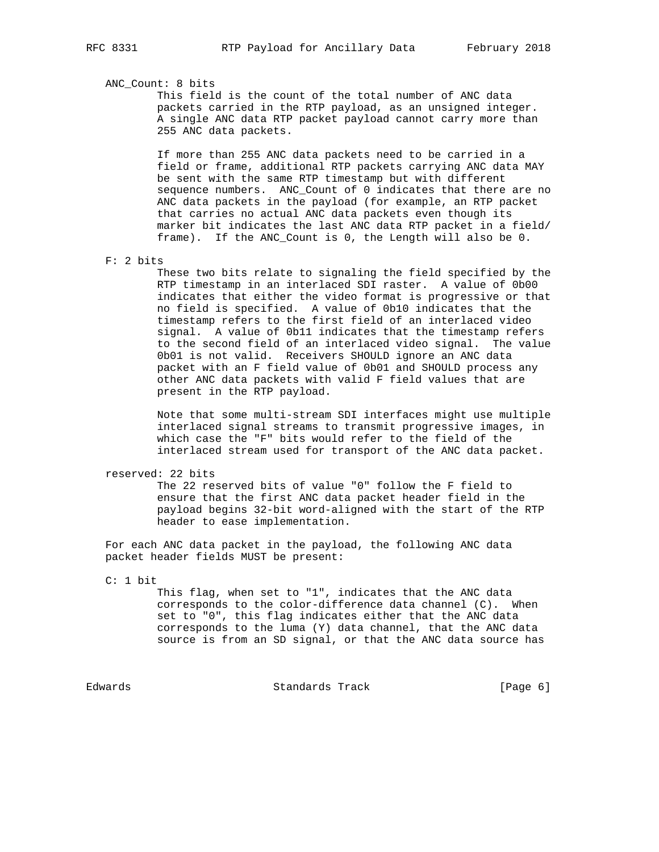ANC\_Count: 8 bits

 This field is the count of the total number of ANC data packets carried in the RTP payload, as an unsigned integer. A single ANC data RTP packet payload cannot carry more than 255 ANC data packets.

 If more than 255 ANC data packets need to be carried in a field or frame, additional RTP packets carrying ANC data MAY be sent with the same RTP timestamp but with different sequence numbers. ANC\_Count of 0 indicates that there are no ANC data packets in the payload (for example, an RTP packet that carries no actual ANC data packets even though its marker bit indicates the last ANC data RTP packet in a field/ frame). If the ANC\_Count is 0, the Length will also be 0.

F: 2 bits

 These two bits relate to signaling the field specified by the RTP timestamp in an interlaced SDI raster. A value of 0b00 indicates that either the video format is progressive or that no field is specified. A value of 0b10 indicates that the timestamp refers to the first field of an interlaced video signal. A value of 0b11 indicates that the timestamp refers to the second field of an interlaced video signal. The value 0b01 is not valid. Receivers SHOULD ignore an ANC data packet with an F field value of 0b01 and SHOULD process any other ANC data packets with valid F field values that are present in the RTP payload.

 Note that some multi-stream SDI interfaces might use multiple interlaced signal streams to transmit progressive images, in which case the "F" bits would refer to the field of the interlaced stream used for transport of the ANC data packet.

reserved: 22 bits

 The 22 reserved bits of value "0" follow the F field to ensure that the first ANC data packet header field in the payload begins 32-bit word-aligned with the start of the RTP header to ease implementation.

 For each ANC data packet in the payload, the following ANC data packet header fields MUST be present:

C: 1 bit

 This flag, when set to "1", indicates that the ANC data corresponds to the color-difference data channel (C). When set to "0", this flag indicates either that the ANC data corresponds to the luma (Y) data channel, that the ANC data source is from an SD signal, or that the ANC data source has

Edwards Standards Track [Page 6]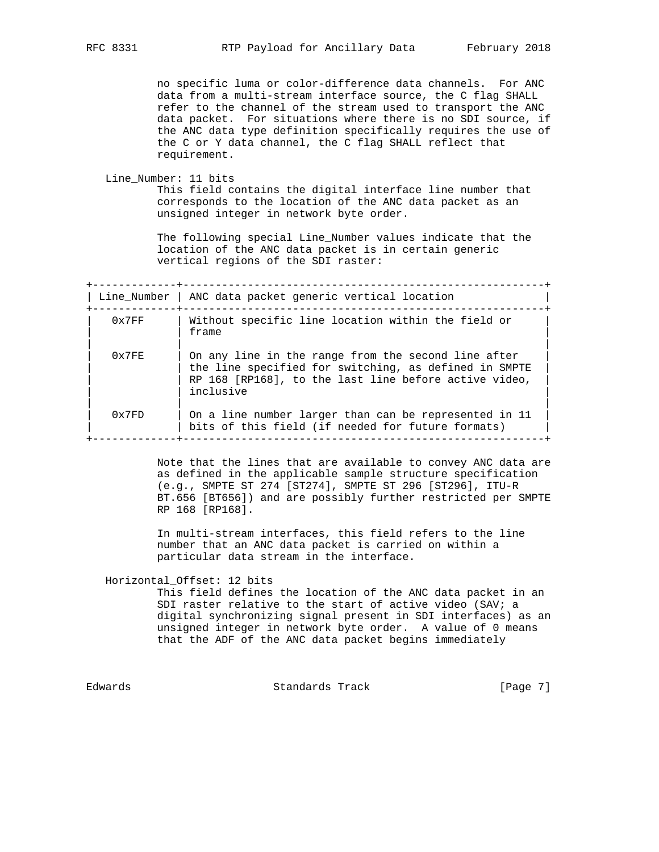no specific luma or color-difference data channels. For ANC data from a multi-stream interface source, the C flag SHALL refer to the channel of the stream used to transport the ANC data packet. For situations where there is no SDI source, if the ANC data type definition specifically requires the use of the C or Y data channel, the C flag SHALL reflect that requirement.

```
 Line_Number: 11 bits
```
 This field contains the digital interface line number that corresponds to the location of the ANC data packet as an unsigned integer in network byte order.

 The following special Line\_Number values indicate that the location of the ANC data packet is in certain generic vertical regions of the SDI raster:

+-------------+--------------------------------------------------------+  $\Box$  Line Number  $\Box$  ANC data packet generic vertical location

|       | LINE NUMBER   ANG GALA PACKEL GENERIC VERLICAI IOCALION                                                                                                                            |
|-------|------------------------------------------------------------------------------------------------------------------------------------------------------------------------------------|
| 0x7FF | Without specific line location within the field or<br>frame                                                                                                                        |
| 0x7FE | On any line in the range from the second line after<br>the line specified for switching, as defined in SMPTE<br>RP 168 [RP168], to the last line before active video,<br>inclusive |
| 0x7FD | On a line number larger than can be represented in 11<br>bits of this field (if needed for future formats)                                                                         |

 Note that the lines that are available to convey ANC data are as defined in the applicable sample structure specification (e.g., SMPTE ST 274 [ST274], SMPTE ST 296 [ST296], ITU-R BT.656 [BT656]) and are possibly further restricted per SMPTE RP 168 [RP168].

 In multi-stream interfaces, this field refers to the line number that an ANC data packet is carried on within a particular data stream in the interface.

Horizontal\_Offset: 12 bits

 This field defines the location of the ANC data packet in an SDI raster relative to the start of active video (SAV; a digital synchronizing signal present in SDI interfaces) as an unsigned integer in network byte order. A value of 0 means that the ADF of the ANC data packet begins immediately

Edwards Standards Track [Page 7]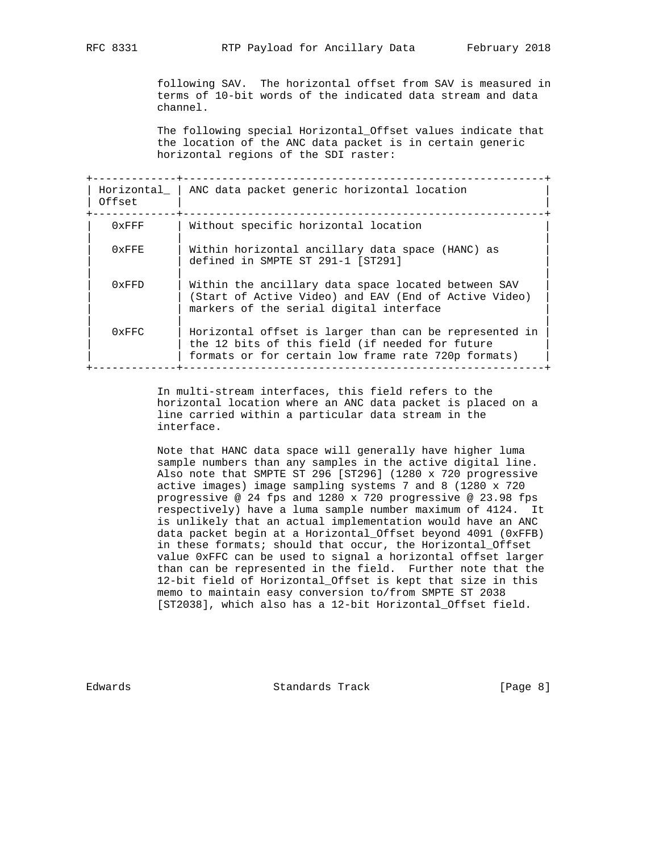following SAV. The horizontal offset from SAV is measured in terms of 10-bit words of the indicated data stream and data channel.

 The following special Horizontal\_Offset values indicate that the location of the ANC data packet is in certain generic horizontal regions of the SDI raster:

| Horizontal  <br>Offset | ANC data packet generic horizontal location                                                                                                                      |
|------------------------|------------------------------------------------------------------------------------------------------------------------------------------------------------------|
| $0x$ FFF               | Without specific horizontal location                                                                                                                             |
| $0 \times$ FFF         | Within horizontal ancillary data space (HANC) as<br>defined in SMPTE ST 291-1 [ST291]                                                                            |
| 0xFFD                  | Within the ancillary data space located between SAV<br>(Start of Active Video) and EAV (End of Active Video)<br>markers of the serial digital interface          |
| 0xFFC                  | Horizontal offset is larger than can be represented in<br>the 12 bits of this field (if needed for future<br>formats or for certain low frame rate 720p formats) |

 In multi-stream interfaces, this field refers to the horizontal location where an ANC data packet is placed on a line carried within a particular data stream in the interface.

 Note that HANC data space will generally have higher luma sample numbers than any samples in the active digital line. Also note that SMPTE ST 296 [ST296] (1280 x 720 progressive active images) image sampling systems 7 and 8 (1280 x 720 progressive @ 24 fps and 1280 x 720 progressive @ 23.98 fps respectively) have a luma sample number maximum of 4124. It is unlikely that an actual implementation would have an ANC data packet begin at a Horizontal\_Offset beyond 4091 (0xFFB) in these formats; should that occur, the Horizontal\_Offset value 0xFFC can be used to signal a horizontal offset larger than can be represented in the field. Further note that the 12-bit field of Horizontal\_Offset is kept that size in this memo to maintain easy conversion to/from SMPTE ST 2038 [ST2038], which also has a 12-bit Horizontal\_Offset field.

Edwards Standards Track [Page 8]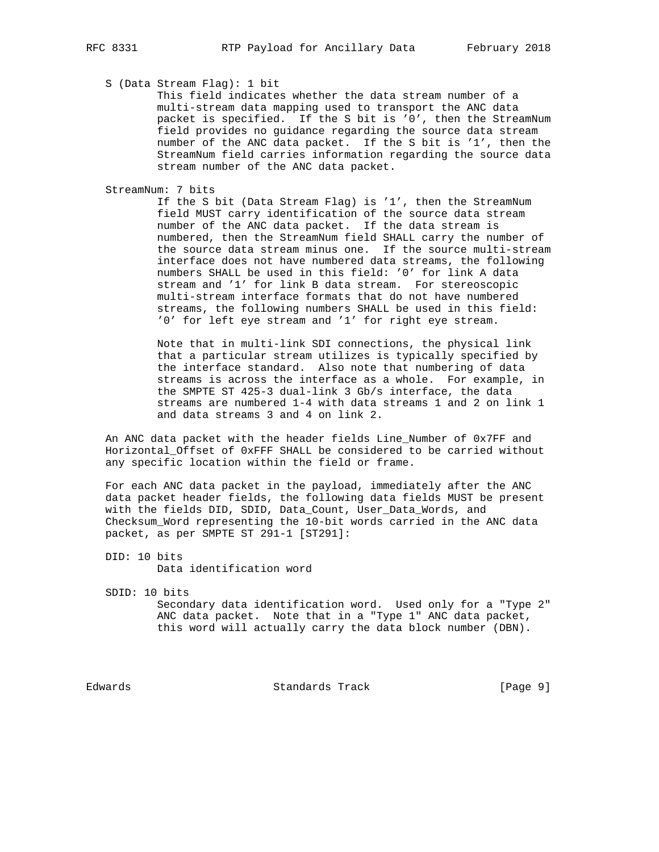# S (Data Stream Flag): 1 bit

 This field indicates whether the data stream number of a multi-stream data mapping used to transport the ANC data packet is specified. If the S bit is '0', then the StreamNum field provides no guidance regarding the source data stream number of the ANC data packet. If the S bit is '1', then the StreamNum field carries information regarding the source data stream number of the ANC data packet.

StreamNum: 7 bits

 If the S bit (Data Stream Flag) is '1', then the StreamNum field MUST carry identification of the source data stream number of the ANC data packet. If the data stream is numbered, then the StreamNum field SHALL carry the number of the source data stream minus one. If the source multi-stream interface does not have numbered data streams, the following numbers SHALL be used in this field: '0' for link A data stream and '1' for link B data stream. For stereoscopic multi-stream interface formats that do not have numbered streams, the following numbers SHALL be used in this field: '0' for left eye stream and '1' for right eye stream.

 Note that in multi-link SDI connections, the physical link that a particular stream utilizes is typically specified by the interface standard. Also note that numbering of data streams is across the interface as a whole. For example, in the SMPTE ST 425-3 dual-link 3 Gb/s interface, the data streams are numbered 1-4 with data streams 1 and 2 on link 1 and data streams 3 and 4 on link 2.

 An ANC data packet with the header fields Line\_Number of 0x7FF and Horizontal\_Offset of 0xFFF SHALL be considered to be carried without any specific location within the field or frame.

 For each ANC data packet in the payload, immediately after the ANC data packet header fields, the following data fields MUST be present with the fields DID, SDID, Data\_Count, User\_Data\_Words, and Checksum\_Word representing the 10-bit words carried in the ANC data packet, as per SMPTE ST 291-1 [ST291]:

 DID: 10 bits Data identification word

SDID: 10 bits

 Secondary data identification word. Used only for a "Type 2" ANC data packet. Note that in a "Type 1" ANC data packet, this word will actually carry the data block number (DBN).

Edwards Standards Track [Page 9]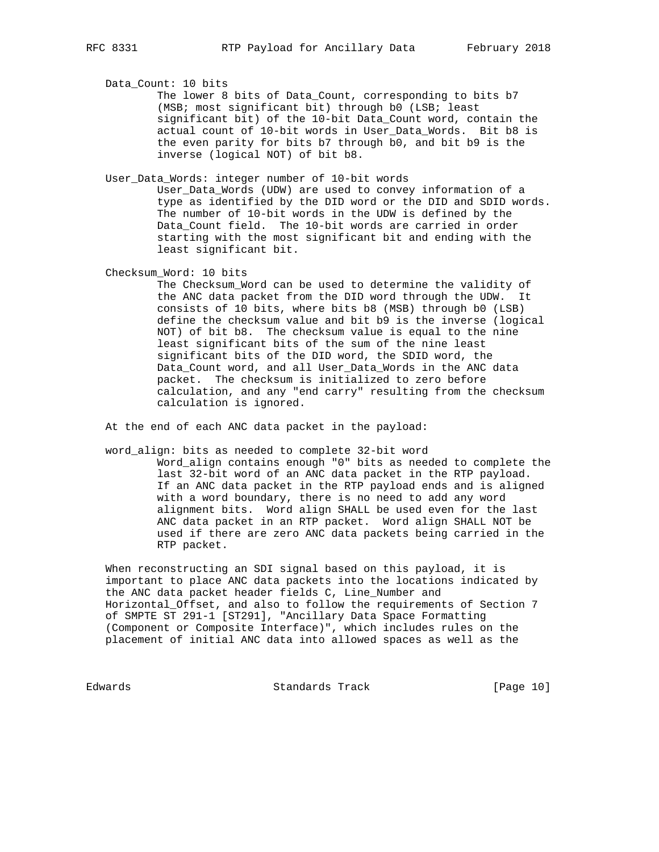Data\_Count: 10 bits

 The lower 8 bits of Data\_Count, corresponding to bits b7 (MSB; most significant bit) through b0 (LSB; least significant bit) of the 10-bit Data\_Count word, contain the actual count of 10-bit words in User\_Data\_Words. Bit b8 is the even parity for bits b7 through b0, and bit b9 is the inverse (logical NOT) of bit b8.

User\_Data\_Words: integer number of 10-bit words

 User\_Data\_Words (UDW) are used to convey information of a type as identified by the DID word or the DID and SDID words. The number of 10-bit words in the UDW is defined by the Data\_Count field. The 10-bit words are carried in order starting with the most significant bit and ending with the least significant bit.

Checksum\_Word: 10 bits

 The Checksum\_Word can be used to determine the validity of the ANC data packet from the DID word through the UDW. It consists of 10 bits, where bits b8 (MSB) through b0 (LSB) define the checksum value and bit b9 is the inverse (logical NOT) of bit b8. The checksum value is equal to the nine least significant bits of the sum of the nine least significant bits of the DID word, the SDID word, the Data\_Count word, and all User\_Data\_Words in the ANC data packet. The checksum is initialized to zero before calculation, and any "end carry" resulting from the checksum calculation is ignored.

At the end of each ANC data packet in the payload:

 word\_align: bits as needed to complete 32-bit word Word\_align contains enough "0" bits as needed to complete the last 32-bit word of an ANC data packet in the RTP payload. If an ANC data packet in the RTP payload ends and is aligned with a word boundary, there is no need to add any word alignment bits. Word align SHALL be used even for the last ANC data packet in an RTP packet. Word align SHALL NOT be used if there are zero ANC data packets being carried in the RTP packet.

 When reconstructing an SDI signal based on this payload, it is important to place ANC data packets into the locations indicated by the ANC data packet header fields C, Line\_Number and Horizontal\_Offset, and also to follow the requirements of Section 7 of SMPTE ST 291-1 [ST291], "Ancillary Data Space Formatting (Component or Composite Interface)", which includes rules on the placement of initial ANC data into allowed spaces as well as the

Edwards Standards Track [Page 10]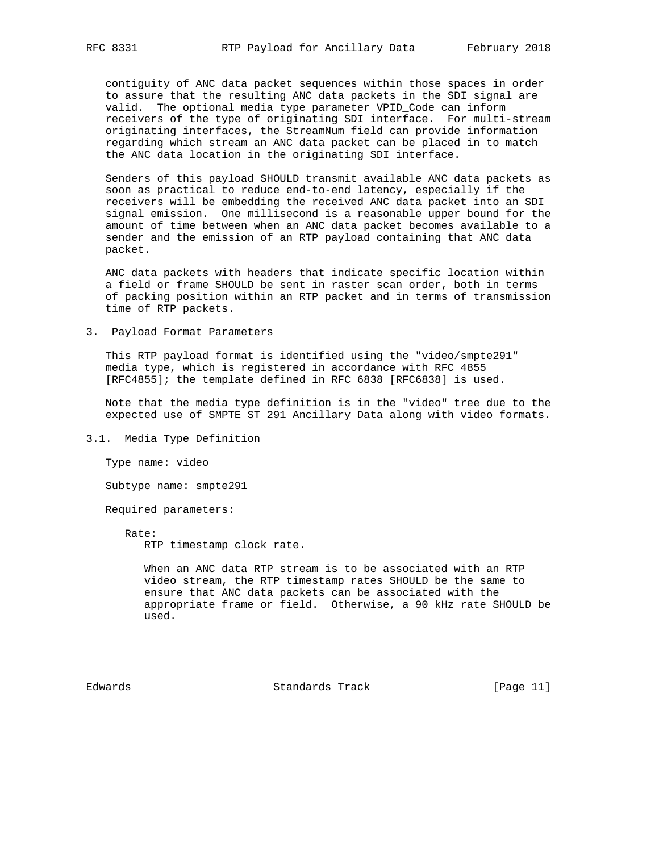contiguity of ANC data packet sequences within those spaces in order to assure that the resulting ANC data packets in the SDI signal are valid. The optional media type parameter VPID\_Code can inform receivers of the type of originating SDI interface. For multi-stream originating interfaces, the StreamNum field can provide information regarding which stream an ANC data packet can be placed in to match the ANC data location in the originating SDI interface.

 Senders of this payload SHOULD transmit available ANC data packets as soon as practical to reduce end-to-end latency, especially if the receivers will be embedding the received ANC data packet into an SDI signal emission. One millisecond is a reasonable upper bound for the amount of time between when an ANC data packet becomes available to a sender and the emission of an RTP payload containing that ANC data packet.

 ANC data packets with headers that indicate specific location within a field or frame SHOULD be sent in raster scan order, both in terms of packing position within an RTP packet and in terms of transmission time of RTP packets.

3. Payload Format Parameters

 This RTP payload format is identified using the "video/smpte291" media type, which is registered in accordance with RFC 4855 [RFC4855]; the template defined in RFC 6838 [RFC6838] is used.

 Note that the media type definition is in the "video" tree due to the expected use of SMPTE ST 291 Ancillary Data along with video formats.

3.1. Media Type Definition

Type name: video

Subtype name: smpte291

Required parameters:

Rate:

RTP timestamp clock rate.

 When an ANC data RTP stream is to be associated with an RTP video stream, the RTP timestamp rates SHOULD be the same to ensure that ANC data packets can be associated with the appropriate frame or field. Otherwise, a 90 kHz rate SHOULD be used.

Edwards Standards Track [Page 11]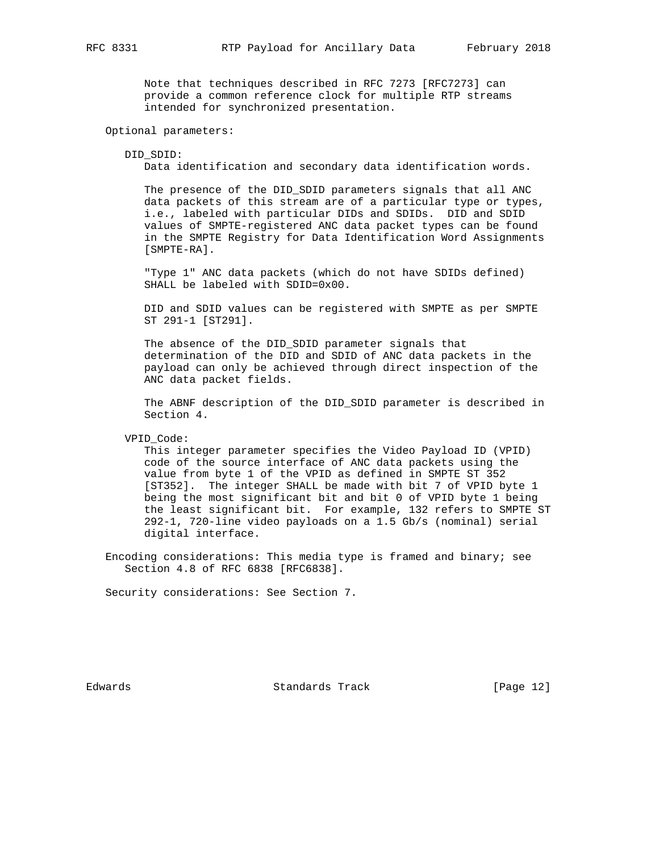Note that techniques described in RFC 7273 [RFC7273] can provide a common reference clock for multiple RTP streams intended for synchronized presentation.

Optional parameters:

#### DID\_SDID:

Data identification and secondary data identification words.

 The presence of the DID\_SDID parameters signals that all ANC data packets of this stream are of a particular type or types, i.e., labeled with particular DIDs and SDIDs. DID and SDID values of SMPTE-registered ANC data packet types can be found in the SMPTE Registry for Data Identification Word Assignments [SMPTE-RA].

 "Type 1" ANC data packets (which do not have SDIDs defined) SHALL be labeled with SDID=0x00.

 DID and SDID values can be registered with SMPTE as per SMPTE ST 291-1 [ST291].

 The absence of the DID\_SDID parameter signals that determination of the DID and SDID of ANC data packets in the payload can only be achieved through direct inspection of the ANC data packet fields.

The ABNF description of the DID SDID parameter is described in Section 4.

VPID\_Code:

 This integer parameter specifies the Video Payload ID (VPID) code of the source interface of ANC data packets using the value from byte 1 of the VPID as defined in SMPTE ST 352 [ST352]. The integer SHALL be made with bit 7 of VPID byte 1 being the most significant bit and bit 0 of VPID byte 1 being the least significant bit. For example, 132 refers to SMPTE ST 292-1, 720-line video payloads on a 1.5 Gb/s (nominal) serial digital interface.

 Encoding considerations: This media type is framed and binary; see Section 4.8 of RFC 6838 [RFC6838].

Security considerations: See Section 7.

Edwards Standards Track [Page 12]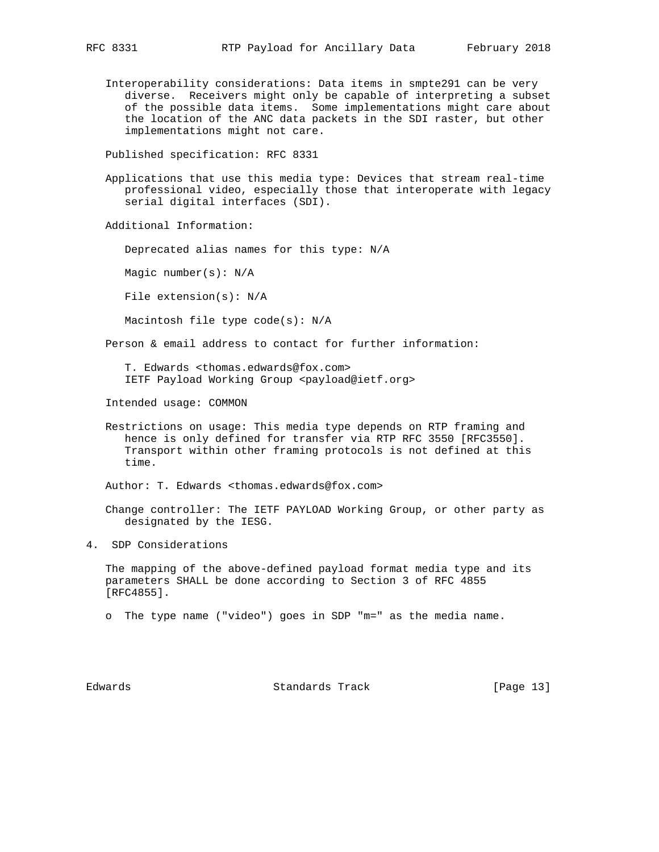Interoperability considerations: Data items in smpte291 can be very diverse. Receivers might only be capable of interpreting a subset of the possible data items. Some implementations might care about the location of the ANC data packets in the SDI raster, but other implementations might not care.

Published specification: RFC 8331

 Applications that use this media type: Devices that stream real-time professional video, especially those that interoperate with legacy serial digital interfaces (SDI).

Additional Information:

Deprecated alias names for this type: N/A

Magic number(s): N/A

File extension(s): N/A

Macintosh file type code(s): N/A

Person & email address to contact for further information:

 T. Edwards <thomas.edwards@fox.com> IETF Payload Working Group <payload@ietf.org>

Intended usage: COMMON

 Restrictions on usage: This media type depends on RTP framing and hence is only defined for transfer via RTP RFC 3550 [RFC3550]. Transport within other framing protocols is not defined at this time.

Author: T. Edwards <thomas.edwards@fox.com>

 Change controller: The IETF PAYLOAD Working Group, or other party as designated by the IESG.

4. SDP Considerations

 The mapping of the above-defined payload format media type and its parameters SHALL be done according to Section 3 of RFC 4855 [RFC4855].

o The type name ("video") goes in SDP "m=" as the media name.

Edwards Standards Track [Page 13]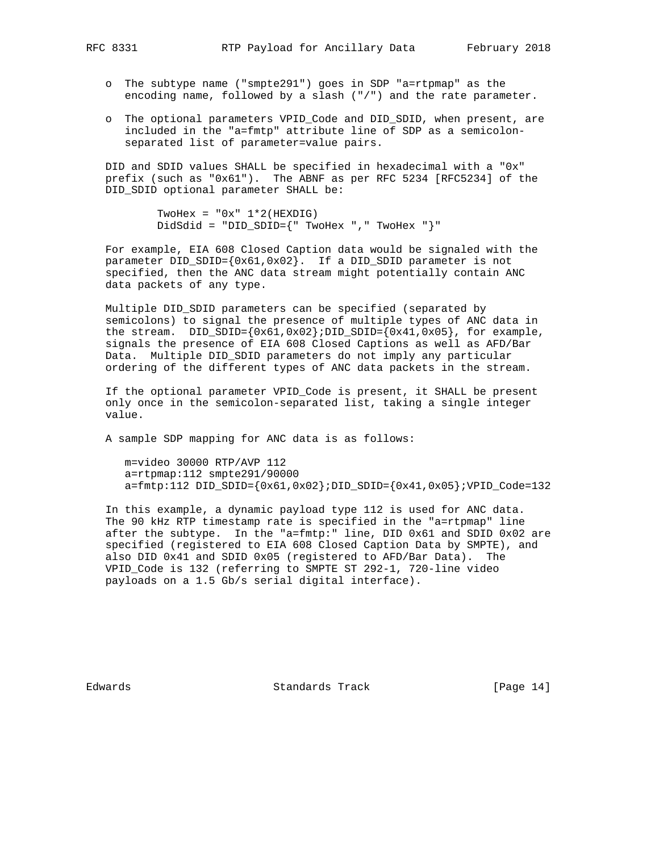- o The subtype name ("smpte291") goes in SDP "a=rtpmap" as the encoding name, followed by a slash ("/") and the rate parameter.
- o The optional parameters VPID\_Code and DID\_SDID, when present, are included in the "a=fmtp" attribute line of SDP as a semicolon separated list of parameter=value pairs.

 DID and SDID values SHALL be specified in hexadecimal with a "0x" prefix (such as "0x61"). The ABNF as per RFC 5234 [RFC5234] of the DID\_SDID optional parameter SHALL be:

> TwoHex =  $"0x" 1*2(HEXDIG)$ DidSdid = "DID\_SDID={" TwoHex "," TwoHex "}"

 For example, EIA 608 Closed Caption data would be signaled with the parameter DID\_SDID={0x61,0x02}. If a DID\_SDID parameter is not specified, then the ANC data stream might potentially contain ANC data packets of any type.

 Multiple DID\_SDID parameters can be specified (separated by semicolons) to signal the presence of multiple types of ANC data in the stream. DID\_SDID= $\{0x61,0x02\}$ ;DID\_SDID= $\{0x41,0x05\}$ , for example, signals the presence of EIA 608 Closed Captions as well as AFD/Bar Data. Multiple DID\_SDID parameters do not imply any particular ordering of the different types of ANC data packets in the stream.

 If the optional parameter VPID\_Code is present, it SHALL be present only once in the semicolon-separated list, taking a single integer value.

A sample SDP mapping for ANC data is as follows:

 m=video 30000 RTP/AVP 112 a=rtpmap:112 smpte291/90000  $a = f m t p : 112 DID\_SIDID = \{0x61, 0x02\} : DID\_SDID = \{0x41, 0x05\} : VPID\_Code = 132$ 

 In this example, a dynamic payload type 112 is used for ANC data. The 90 kHz RTP timestamp rate is specified in the "a=rtpmap" line after the subtype. In the "a=fmtp:" line, DID 0x61 and SDID 0x02 are specified (registered to EIA 608 Closed Caption Data by SMPTE), and also DID 0x41 and SDID 0x05 (registered to AFD/Bar Data). The VPID\_Code is 132 (referring to SMPTE ST 292-1, 720-line video payloads on a 1.5 Gb/s serial digital interface).

Edwards Standards Track [Page 14]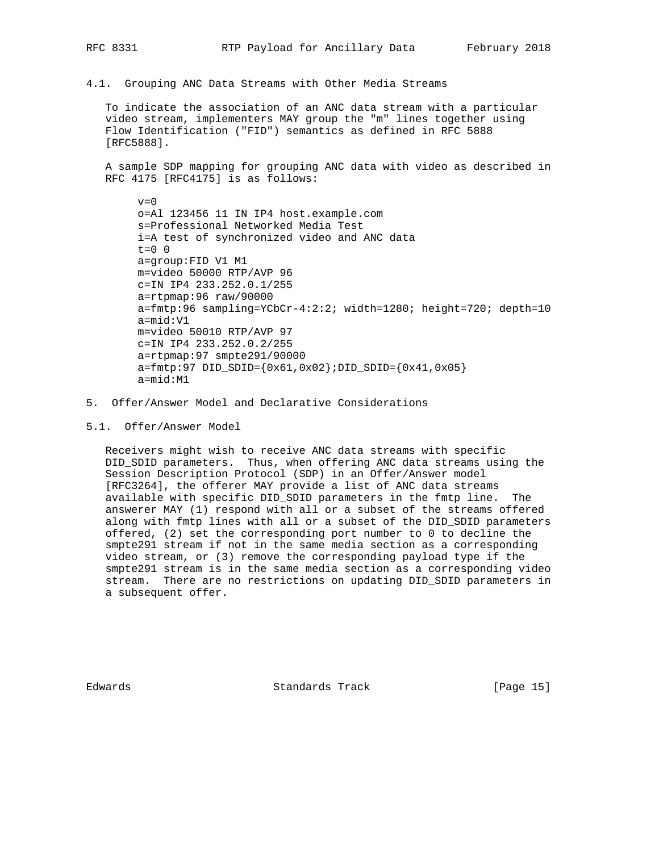4.1. Grouping ANC Data Streams with Other Media Streams

 To indicate the association of an ANC data stream with a particular video stream, implementers MAY group the "m" lines together using Flow Identification ("FID") semantics as defined in RFC 5888 [RFC5888].

 A sample SDP mapping for grouping ANC data with video as described in RFC 4175 [RFC4175] is as follows:

 $v=0$  o=Al 123456 11 IN IP4 host.example.com s=Professional Networked Media Test i=A test of synchronized video and ANC data  $t=0$  0 a=group:FID V1 M1 m=video 50000 RTP/AVP 96 c=IN IP4 233.252.0.1/255 a=rtpmap:96 raw/90000 a=fmtp:96 sampling=YCbCr-4:2:2; width=1280; height=720; depth=10 a=mid:V1 m=video 50010 RTP/AVP 97 c=IN IP4 233.252.0.2/255 a=rtpmap:97 smpte291/90000 a=fmtp:97 DID\_SDID={0x61,0x02};DID\_SDID={0x41,0x05} a=mid:M1

- 5. Offer/Answer Model and Declarative Considerations
- 5.1. Offer/Answer Model

 Receivers might wish to receive ANC data streams with specific DID\_SDID parameters. Thus, when offering ANC data streams using the Session Description Protocol (SDP) in an Offer/Answer model [RFC3264], the offerer MAY provide a list of ANC data streams available with specific DID\_SDID parameters in the fmtp line. The answerer MAY (1) respond with all or a subset of the streams offered along with fmtp lines with all or a subset of the DID\_SDID parameters offered, (2) set the corresponding port number to 0 to decline the smpte291 stream if not in the same media section as a corresponding video stream, or (3) remove the corresponding payload type if the smpte291 stream is in the same media section as a corresponding video stream. There are no restrictions on updating DID\_SDID parameters in a subsequent offer.

Edwards Standards Track [Page 15]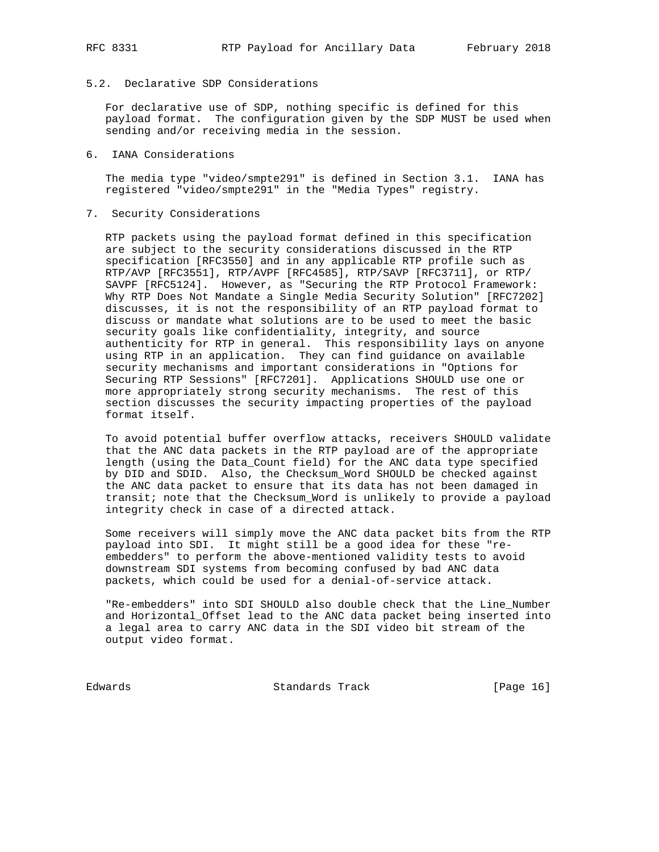# 5.2. Declarative SDP Considerations

 For declarative use of SDP, nothing specific is defined for this payload format. The configuration given by the SDP MUST be used when sending and/or receiving media in the session.

### 6. IANA Considerations

 The media type "video/smpte291" is defined in Section 3.1. IANA has registered "video/smpte291" in the "Media Types" registry.

## 7. Security Considerations

 RTP packets using the payload format defined in this specification are subject to the security considerations discussed in the RTP specification [RFC3550] and in any applicable RTP profile such as RTP/AVP [RFC3551], RTP/AVPF [RFC4585], RTP/SAVP [RFC3711], or RTP/ SAVPF [RFC5124]. However, as "Securing the RTP Protocol Framework: Why RTP Does Not Mandate a Single Media Security Solution" [RFC7202] discusses, it is not the responsibility of an RTP payload format to discuss or mandate what solutions are to be used to meet the basic security goals like confidentiality, integrity, and source authenticity for RTP in general. This responsibility lays on anyone using RTP in an application. They can find guidance on available security mechanisms and important considerations in "Options for Securing RTP Sessions" [RFC7201]. Applications SHOULD use one or more appropriately strong security mechanisms. The rest of this section discusses the security impacting properties of the payload format itself.

 To avoid potential buffer overflow attacks, receivers SHOULD validate that the ANC data packets in the RTP payload are of the appropriate length (using the Data\_Count field) for the ANC data type specified by DID and SDID. Also, the Checksum\_Word SHOULD be checked against the ANC data packet to ensure that its data has not been damaged in transit; note that the Checksum\_Word is unlikely to provide a payload integrity check in case of a directed attack.

 Some receivers will simply move the ANC data packet bits from the RTP payload into SDI. It might still be a good idea for these "re embedders" to perform the above-mentioned validity tests to avoid downstream SDI systems from becoming confused by bad ANC data packets, which could be used for a denial-of-service attack.

 "Re-embedders" into SDI SHOULD also double check that the Line\_Number and Horizontal\_Offset lead to the ANC data packet being inserted into a legal area to carry ANC data in the SDI video bit stream of the output video format.

Edwards Standards Track [Page 16]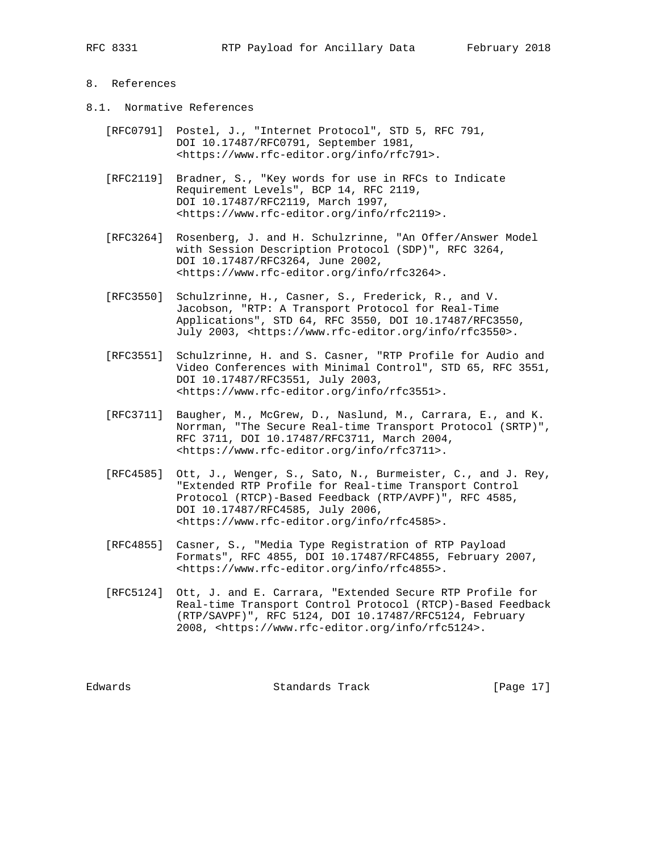# 8. References

- 8.1. Normative References
	- [RFC0791] Postel, J., "Internet Protocol", STD 5, RFC 791, DOI 10.17487/RFC0791, September 1981, <https://www.rfc-editor.org/info/rfc791>.
	- [RFC2119] Bradner, S., "Key words for use in RFCs to Indicate Requirement Levels", BCP 14, RFC 2119, DOI 10.17487/RFC2119, March 1997, <https://www.rfc-editor.org/info/rfc2119>.
	- [RFC3264] Rosenberg, J. and H. Schulzrinne, "An Offer/Answer Model with Session Description Protocol (SDP)", RFC 3264, DOI 10.17487/RFC3264, June 2002, <https://www.rfc-editor.org/info/rfc3264>.
	- [RFC3550] Schulzrinne, H., Casner, S., Frederick, R., and V. Jacobson, "RTP: A Transport Protocol for Real-Time Applications", STD 64, RFC 3550, DOI 10.17487/RFC3550, July 2003, <https://www.rfc-editor.org/info/rfc3550>.
	- [RFC3551] Schulzrinne, H. and S. Casner, "RTP Profile for Audio and Video Conferences with Minimal Control", STD 65, RFC 3551, DOI 10.17487/RFC3551, July 2003, <https://www.rfc-editor.org/info/rfc3551>.
	- [RFC3711] Baugher, M., McGrew, D., Naslund, M., Carrara, E., and K. Norrman, "The Secure Real-time Transport Protocol (SRTP)", RFC 3711, DOI 10.17487/RFC3711, March 2004, <https://www.rfc-editor.org/info/rfc3711>.
	- [RFC4585] Ott, J., Wenger, S., Sato, N., Burmeister, C., and J. Rey, "Extended RTP Profile for Real-time Transport Control Protocol (RTCP)-Based Feedback (RTP/AVPF)", RFC 4585, DOI 10.17487/RFC4585, July 2006, <https://www.rfc-editor.org/info/rfc4585>.
	- [RFC4855] Casner, S., "Media Type Registration of RTP Payload Formats", RFC 4855, DOI 10.17487/RFC4855, February 2007, <https://www.rfc-editor.org/info/rfc4855>.
	- [RFC5124] Ott, J. and E. Carrara, "Extended Secure RTP Profile for Real-time Transport Control Protocol (RTCP)-Based Feedback (RTP/SAVPF)", RFC 5124, DOI 10.17487/RFC5124, February 2008, <https://www.rfc-editor.org/info/rfc5124>.

Edwards Standards Track [Page 17]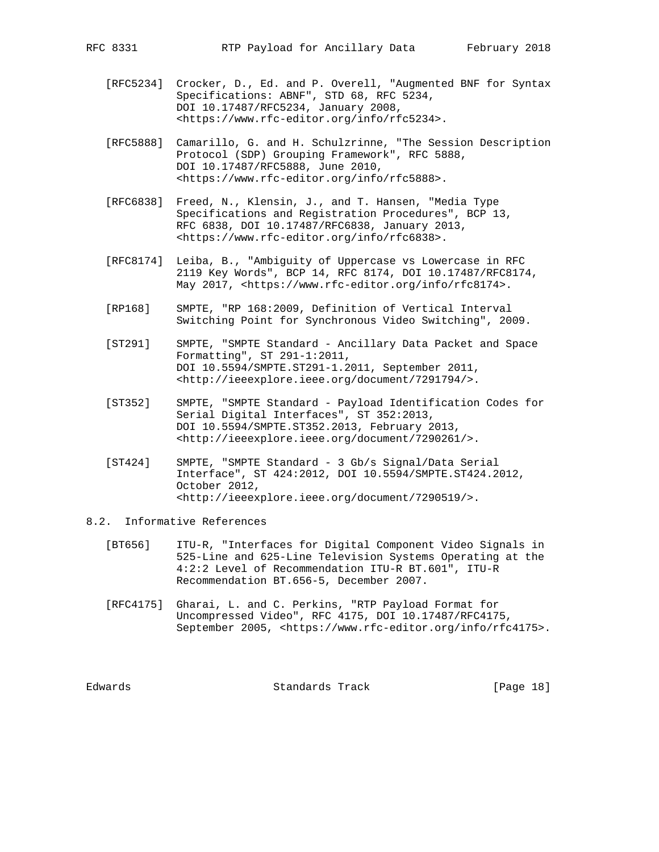- [RFC5234] Crocker, D., Ed. and P. Overell, "Augmented BNF for Syntax Specifications: ABNF", STD 68, RFC 5234, DOI 10.17487/RFC5234, January 2008, <https://www.rfc-editor.org/info/rfc5234>.
	- [RFC5888] Camarillo, G. and H. Schulzrinne, "The Session Description Protocol (SDP) Grouping Framework", RFC 5888, DOI 10.17487/RFC5888, June 2010, <https://www.rfc-editor.org/info/rfc5888>.
	- [RFC6838] Freed, N., Klensin, J., and T. Hansen, "Media Type Specifications and Registration Procedures", BCP 13, RFC 6838, DOI 10.17487/RFC6838, January 2013, <https://www.rfc-editor.org/info/rfc6838>.
	- [RFC8174] Leiba, B., "Ambiguity of Uppercase vs Lowercase in RFC 2119 Key Words", BCP 14, RFC 8174, DOI 10.17487/RFC8174, May 2017, <https://www.rfc-editor.org/info/rfc8174>.
	- [RP168] SMPTE, "RP 168:2009, Definition of Vertical Interval Switching Point for Synchronous Video Switching", 2009.
	- [ST291] SMPTE, "SMPTE Standard Ancillary Data Packet and Space Formatting", ST 291-1:2011, DOI 10.5594/SMPTE.ST291-1.2011, September 2011, <http://ieeexplore.ieee.org/document/7291794/>.
	- [ST352] SMPTE, "SMPTE Standard Payload Identification Codes for Serial Digital Interfaces", ST 352:2013, DOI 10.5594/SMPTE.ST352.2013, February 2013, <http://ieeexplore.ieee.org/document/7290261/>.
	- [ST424] SMPTE, "SMPTE Standard 3 Gb/s Signal/Data Serial Interface", ST 424:2012, DOI 10.5594/SMPTE.ST424.2012, October 2012, <http://ieeexplore.ieee.org/document/7290519/>.
- 8.2. Informative References
	- [BT656] ITU-R, "Interfaces for Digital Component Video Signals in 525-Line and 625-Line Television Systems Operating at the 4:2:2 Level of Recommendation ITU-R BT.601", ITU-R Recommendation BT.656-5, December 2007.
	- [RFC4175] Gharai, L. and C. Perkins, "RTP Payload Format for Uncompressed Video", RFC 4175, DOI 10.17487/RFC4175, September 2005, <https://www.rfc-editor.org/info/rfc4175>.

Edwards Standards Track [Page 18]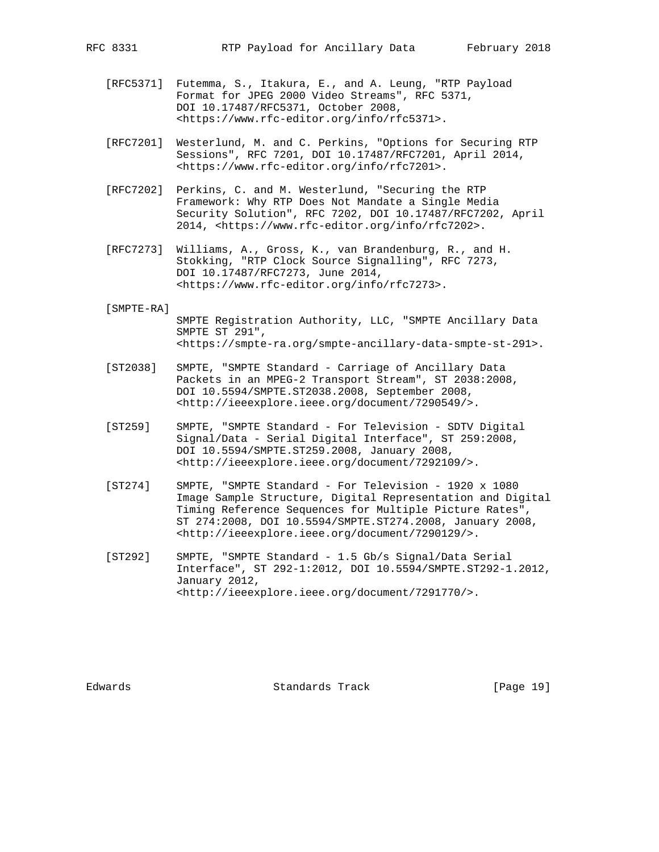- [RFC5371] Futemma, S., Itakura, E., and A. Leung, "RTP Payload Format for JPEG 2000 Video Streams", RFC 5371, DOI 10.17487/RFC5371, October 2008, <https://www.rfc-editor.org/info/rfc5371>.
- [RFC7201] Westerlund, M. and C. Perkins, "Options for Securing RTP Sessions", RFC 7201, DOI 10.17487/RFC7201, April 2014, <https://www.rfc-editor.org/info/rfc7201>.
- [RFC7202] Perkins, C. and M. Westerlund, "Securing the RTP Framework: Why RTP Does Not Mandate a Single Media Security Solution", RFC 7202, DOI 10.17487/RFC7202, April 2014, <https://www.rfc-editor.org/info/rfc7202>.
- [RFC7273] Williams, A., Gross, K., van Brandenburg, R., and H. Stokking, "RTP Clock Source Signalling", RFC 7273, DOI 10.17487/RFC7273, June 2014, <https://www.rfc-editor.org/info/rfc7273>.

#### [SMPTE-RA]

 SMPTE Registration Authority, LLC, "SMPTE Ancillary Data SMPTE ST 291", <https://smpte-ra.org/smpte-ancillary-data-smpte-st-291>.

- [ST2038] SMPTE, "SMPTE Standard Carriage of Ancillary Data Packets in an MPEG-2 Transport Stream", ST 2038:2008, DOI 10.5594/SMPTE.ST2038.2008, September 2008, <http://ieeexplore.ieee.org/document/7290549/>.
- [ST259] SMPTE, "SMPTE Standard For Television SDTV Digital Signal/Data - Serial Digital Interface", ST 259:2008, DOI 10.5594/SMPTE.ST259.2008, January 2008, <http://ieeexplore.ieee.org/document/7292109/>.
- [ST274] SMPTE, "SMPTE Standard For Television 1920 x 1080 Image Sample Structure, Digital Representation and Digital Timing Reference Sequences for Multiple Picture Rates", ST 274:2008, DOI 10.5594/SMPTE.ST274.2008, January 2008, <http://ieeexplore.ieee.org/document/7290129/>.
- [ST292] SMPTE, "SMPTE Standard 1.5 Gb/s Signal/Data Serial Interface", ST 292-1:2012, DOI 10.5594/SMPTE.ST292-1.2012, January 2012, <http://ieeexplore.ieee.org/document/7291770/>.

Edwards Standards Track [Page 19]